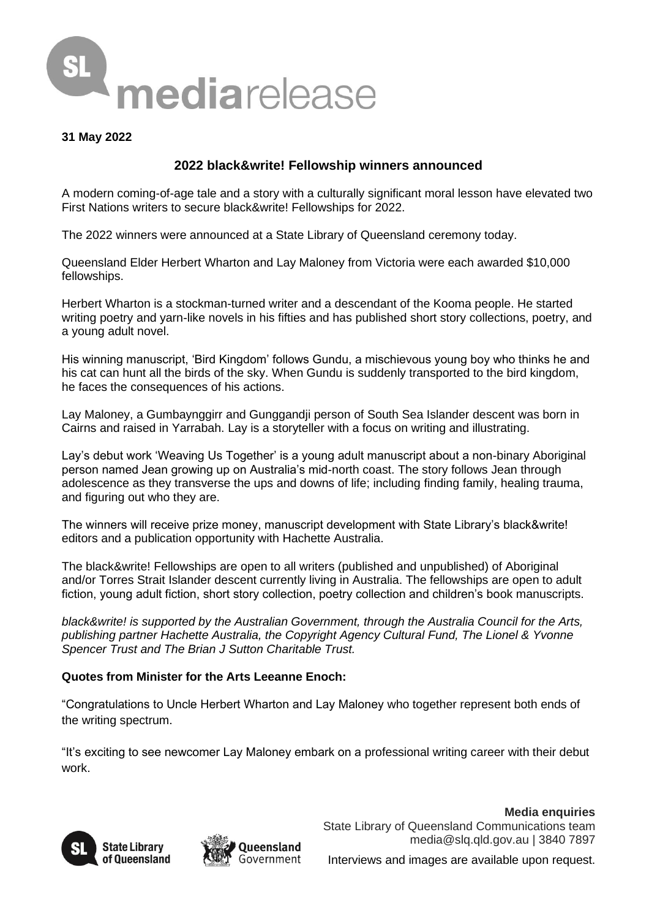

## **31 May 2022**

# **2022 black&write! Fellowship winners announced**

A modern coming-of-age tale and a story with a culturally significant moral lesson have elevated two First Nations writers to secure black&write! Fellowships for 2022.

The 2022 winners were announced at a State Library of Queensland ceremony today.

Queensland Elder Herbert Wharton and Lay Maloney from Victoria were each awarded \$10,000 fellowships.

Herbert Wharton is a stockman-turned writer and a descendant of the Kooma people. He started writing poetry and yarn-like novels in his fifties and has published short story collections, poetry, and a young adult novel.

His winning manuscript, 'Bird Kingdom' follows Gundu, a mischievous young boy who thinks he and his cat can hunt all the birds of the sky. When Gundu is suddenly transported to the bird kingdom, he faces the consequences of his actions.

Lay Maloney, a Gumbaynggirr and Gunggandji person of South Sea Islander descent was born in Cairns and raised in Yarrabah. Lay is a storyteller with a focus on writing and illustrating.

Lay's debut work 'Weaving Us Together' is a young adult manuscript about a non-binary Aboriginal person named Jean growing up on Australia's mid-north coast. The story follows Jean through adolescence as they transverse the ups and downs of life; including finding family, healing trauma, and figuring out who they are.

The winners will receive prize money, manuscript development with State Library's black&write! editors and a publication opportunity with Hachette Australia.

The black&write! Fellowships are open to all writers (published and unpublished) of Aboriginal and/or Torres Strait Islander descent currently living in Australia. The fellowships are open to adult fiction, young adult fiction, short story collection, poetry collection and children's book manuscripts.

*black&write! is supported by the Australian Government, through the Australia Council for the Arts, publishing partner Hachette Australia, the Copyright Agency Cultural Fund, The Lionel & Yvonne Spencer Trust and The Brian J Sutton Charitable Trust.*

## **Quotes from Minister for the Arts Leeanne Enoch:**

"Congratulations to Uncle Herbert Wharton and Lay Maloney who together represent both ends of the writing spectrum.

"It's exciting to see newcomer Lay Maloney embark on a professional writing career with their debut work.





**Media enquiries** State Library of Queensland Communications team media@slq.qld.gov.au | 3840 7897

Interviews and images are available upon request.